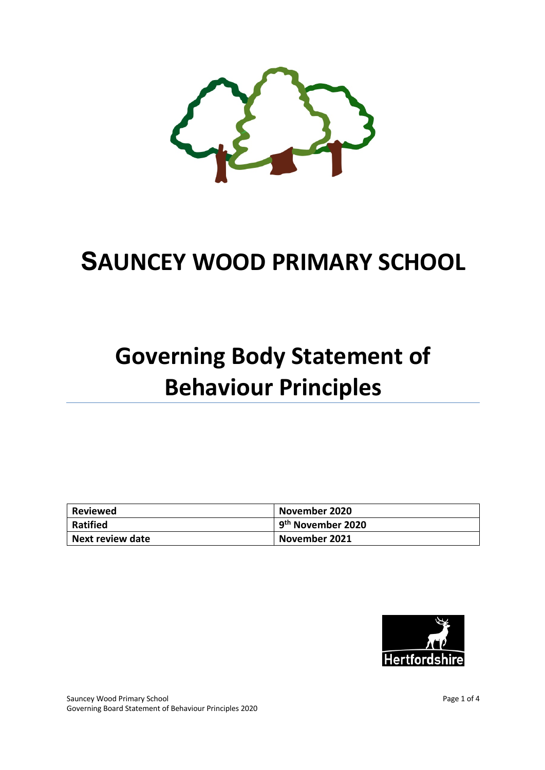

## **SAUNCEY WOOD PRIMARY SCHOOL**

# **Governing Body Statement of Behaviour Principles**

| Reviewed                | November 2020                 |
|-------------------------|-------------------------------|
| <b>Ratified</b>         | 9 <sup>th</sup> November 2020 |
| <b>Next review date</b> | November 2021                 |



Sauncey Wood Primary School **Page 1 of 4** Sauncey Wood Primary School Page 1 of 4 Governing Board Statement of Behaviour Principles 2020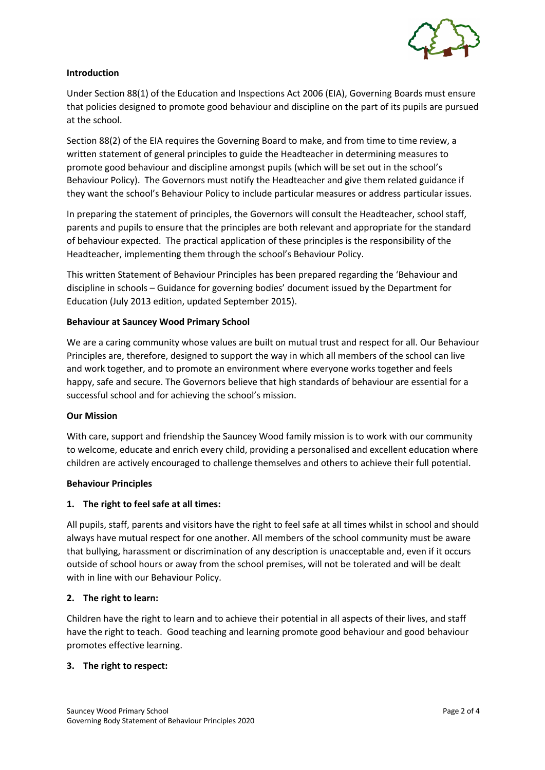

## **Introduction**

Under Section 88(1) of the Education and Inspections Act 2006 (EIA), Governing Boards must ensure that policies designed to promote good behaviour and discipline on the part of its pupils are pursued at the school.

Section 88(2) of the EIA requires the Governing Board to make, and from time to time review, a written statement of general principles to guide the Headteacher in determining measures to promote good behaviour and discipline amongst pupils (which will be set out in the school's Behaviour Policy). The Governors must notify the Headteacher and give them related guidance if they want the school's Behaviour Policy to include particular measures or address particular issues.

In preparing the statement of principles, the Governors will consult the Headteacher, school staff, parents and pupils to ensure that the principles are both relevant and appropriate for the standard of behaviour expected. The practical application of these principles is the responsibility of the Headteacher, implementing them through the school's Behaviour Policy.

This written Statement of Behaviour Principles has been prepared regarding the 'Behaviour and discipline in schools – Guidance for governing bodies' document issued by the Department for Education (July 2013 edition, updated September 2015).

#### **Behaviour at Sauncey Wood Primary School**

We are a caring community whose values are built on mutual trust and respect for all. Our Behaviour Principles are, therefore, designed to support the way in which all members of the school can live and work together, and to promote an environment where everyone works together and feels happy, safe and secure. The Governors believe that high standards of behaviour are essential for a successful school and for achieving the school's mission.

#### **Our Mission**

With care, support and friendship the Sauncey Wood family mission is to work with our community to welcome, educate and enrich every child, providing a personalised and excellent education where children are actively encouraged to challenge themselves and others to achieve their full potential.

#### **Behaviour Principles**

#### **1. The right to feel safe at all times:**

All pupils, staff, parents and visitors have the right to feel safe at all times whilst in school and should always have mutual respect for one another. All members of the school community must be aware that bullying, harassment or discrimination of any description is unacceptable and, even if it occurs outside of school hours or away from the school premises, will not be tolerated and will be dealt with in line with our Behaviour Policy.

#### **2. The right to learn:**

Children have the right to learn and to achieve their potential in all aspects of their lives, and staff have the right to teach. Good teaching and learning promote good behaviour and good behaviour promotes effective learning.

#### **3. The right to respect:**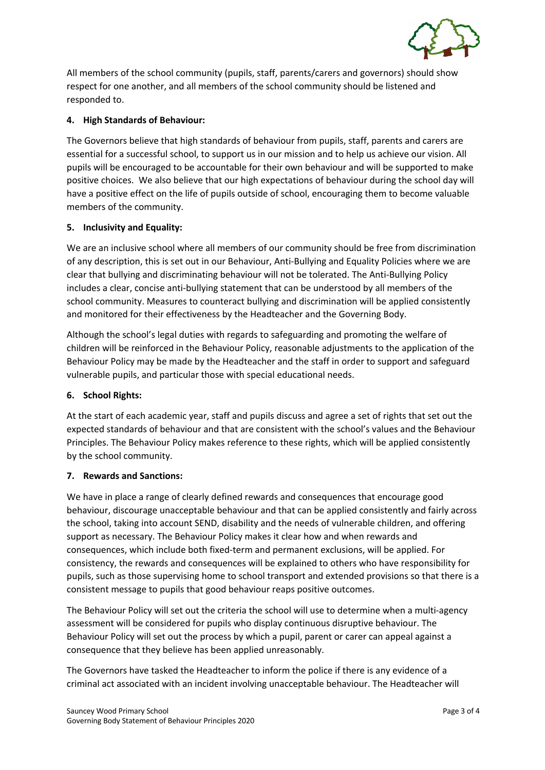

All members of the school community (pupils, staff, parents/carers and governors) should show respect for one another, and all members of the school community should be listened and responded to.

## **4. High Standards of Behaviour:**

The Governors believe that high standards of behaviour from pupils, staff, parents and carers are essential for a successful school, to support us in our mission and to help us achieve our vision. All pupils will be encouraged to be accountable for their own behaviour and will be supported to make positive choices. We also believe that our high expectations of behaviour during the school day will have a positive effect on the life of pupils outside of school, encouraging them to become valuable members of the community.

## **5. Inclusivity and Equality:**

We are an inclusive school where all members of our community should be free from discrimination of any description, this is set out in our Behaviour, Anti-Bullying and Equality Policies where we are clear that bullying and discriminating behaviour will not be tolerated. The Anti-Bullying Policy includes a clear, concise anti-bullying statement that can be understood by all members of the school community. Measures to counteract bullying and discrimination will be applied consistently and monitored for their effectiveness by the Headteacher and the Governing Body.

Although the school's legal duties with regards to safeguarding and promoting the welfare of children will be reinforced in the Behaviour Policy, reasonable adjustments to the application of the Behaviour Policy may be made by the Headteacher and the staff in order to support and safeguard vulnerable pupils, and particular those with special educational needs.

## **6. School Rights:**

At the start of each academic year, staff and pupils discuss and agree a set of rights that set out the expected standards of behaviour and that are consistent with the school's values and the Behaviour Principles. The Behaviour Policy makes reference to these rights, which will be applied consistently by the school community.

## **7. Rewards and Sanctions:**

We have in place a range of clearly defined rewards and consequences that encourage good behaviour, discourage unacceptable behaviour and that can be applied consistently and fairly across the school, taking into account SEND, disability and the needs of vulnerable children, and offering support as necessary. The Behaviour Policy makes it clear how and when rewards and consequences, which include both fixed-term and permanent exclusions, will be applied. For consistency, the rewards and consequences will be explained to others who have responsibility for pupils, such as those supervising home to school transport and extended provisions so that there is a consistent message to pupils that good behaviour reaps positive outcomes.

The Behaviour Policy will set out the criteria the school will use to determine when a multi-agency assessment will be considered for pupils who display continuous disruptive behaviour. The Behaviour Policy will set out the process by which a pupil, parent or carer can appeal against a consequence that they believe has been applied unreasonably.

The Governors have tasked the Headteacher to inform the police if there is any evidence of a criminal act associated with an incident involving unacceptable behaviour. The Headteacher will